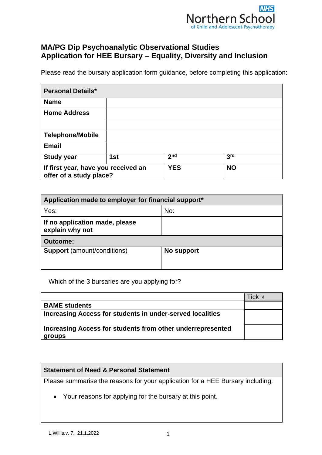

## **MA/PG Dip Psychoanalytic Observational Studies Application for HEE Bursary – Equality, Diversity and Inclusion**

Please read the bursary application form guidance, before completing this application:

| <b>Personal Details*</b>                                       |     |                 |                 |
|----------------------------------------------------------------|-----|-----------------|-----------------|
| <b>Name</b>                                                    |     |                 |                 |
| <b>Home Address</b>                                            |     |                 |                 |
|                                                                |     |                 |                 |
| <b>Telephone/Mobile</b>                                        |     |                 |                 |
| <b>Email</b>                                                   |     |                 |                 |
| <b>Study year</b>                                              | 1st | 2 <sub>nd</sub> | 3 <sup>rd</sup> |
| If first year, have you received an<br>offer of a study place? |     | <b>YES</b>      | <b>NO</b>       |

| Application made to employer for financial support* |            |
|-----------------------------------------------------|------------|
| Yes:                                                | No:        |
| If no application made, please<br>explain why not   |            |
| <b>Outcome:</b>                                     |            |
| <b>Support</b> (amount/conditions)                  | No support |

Which of the 3 bursaries are you applying for?

|                                                                      | Tick √ |
|----------------------------------------------------------------------|--------|
| <b>BAME students</b>                                                 |        |
| Increasing Access for students in under-served localities            |        |
| Increasing Access for students from other underrepresented<br>groups |        |

## **Statement of Need & Personal Statement**

Please summarise the reasons for your application for a HEE Bursary including:

• Your reasons for applying for the bursary at this point.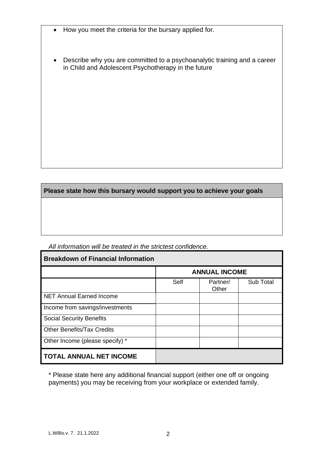- How you meet the criteria for the bursary applied for.
- Describe why you are committed to a psychoanalytic training and a career in Child and Adolescent Psychotherapy in the future

**Please state how this bursary would support you to achieve your goals**

| <b>Breakdown of Financial Information</b> |      |                      |           |
|-------------------------------------------|------|----------------------|-----------|
|                                           |      | <b>ANNUAL INCOME</b> |           |
|                                           | Self | Partner/<br>Other    | Sub Total |
| <b>NET Annual Earned Income</b>           |      |                      |           |
| Income from savings/investments           |      |                      |           |
| <b>Social Security Benefits</b>           |      |                      |           |
| <b>Other Benefits/Tax Credits</b>         |      |                      |           |
| Other Income (please specify) *           |      |                      |           |
| <b>TOTAL ANNUAL NET INCOME</b>            |      |                      |           |

*All information will be treated in the strictest confidence.*

\* Please state here any additional financial support (either one off or ongoing payments) you may be receiving from your workplace or extended family.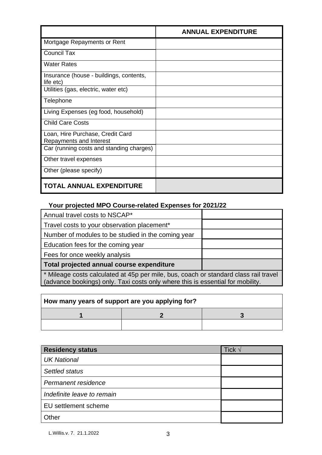|                                                             | <b>ANNUAL EXPENDITURE</b> |
|-------------------------------------------------------------|---------------------------|
| Mortgage Repayments or Rent                                 |                           |
| <b>Council Tax</b>                                          |                           |
| <b>Water Rates</b>                                          |                           |
| Insurance (house - buildings, contents,<br>life etc)        |                           |
| Utilities (gas, electric, water etc)                        |                           |
| Telephone                                                   |                           |
| Living Expenses (eg food, household)                        |                           |
| <b>Child Care Costs</b>                                     |                           |
| Loan, Hire Purchase, Credit Card<br>Repayments and Interest |                           |
| Car (running costs and standing charges)                    |                           |
| Other travel expenses                                       |                           |
| Other (please specify)                                      |                           |
| <b>TOTAL ANNUAL EXPENDITURE</b>                             |                           |

## **Your projected MPO Course-related Expenses for 2021/22**

| Annual travel costs to NSCAP*                                                        |  |
|--------------------------------------------------------------------------------------|--|
| Travel costs to your observation placement*                                          |  |
| Number of modules to be studied in the coming year                                   |  |
| Education fees for the coming year                                                   |  |
| Fees for once weekly analysis                                                        |  |
| Total projected annual course expenditure                                            |  |
| * Mileage costs calculated at 45p per mile, bus, coach or standard class rail travel |  |

(advance bookings) only. Taxi costs only where this is essential for mobility.

| How many years of support are you applying for? |  |  |
|-------------------------------------------------|--|--|
|                                                 |  |  |
|                                                 |  |  |

| <b>Residency status</b>    | Tick $\sqrt{ }$ |
|----------------------------|-----------------|
| <b>UK National</b>         |                 |
| Settled status             |                 |
| Permanent residence        |                 |
| Indefinite leave to remain |                 |
| EU settlement scheme       |                 |
| Other                      |                 |